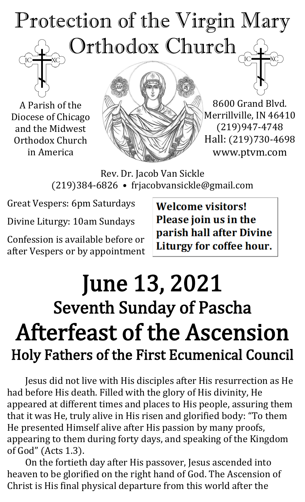## Protection of the Virgin Mary Orthodox Church

A Parish of the Diocese of Chicago and the Midwest Orthodox Church in America



8600 Grand Blvd. Merrillville, IN 46410 (219)947-4748 Hall: (219)730-4698 www.ptvm.com

Rev. Dr. Jacob Van Sickle (219)384-6826 • frjacobvansickle@gmail.com

Great Vespers: 6pm Saturdays

Divine Liturgy: 10am Sundays

Confession is available before or after Vespers or by appointment **Welcome visitors!** Please join us in the parish hall after Divine Liturgy for coffee hour.

## June 13, 2021 Seventh Sunday of Pascha Afterfeast of the Ascension Holy Fathers of the First Ecumenical Council

Jesus did not live with His disciples after His resurrection as He had before His death. Filled with the glory of His divinity, He appeared at different times and places to His people, assuring them that it was He, truly alive in His risen and glorified body: "To them He presented Himself alive after His passion by many proofs, appearing to them during forty days, and speaking of the Kingdom of God" (Acts 1.3).

On the fortieth day after His passover, Jesus ascended into heaven to be glorified on the right hand of God. The Ascension of Christ is His final physical departure from this world after the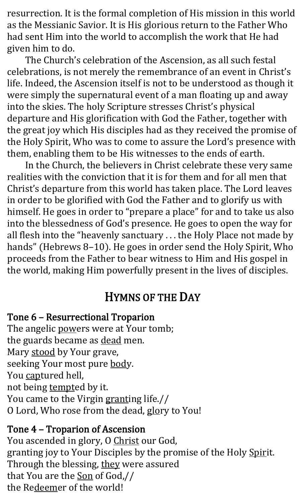resurrection. It is the formal completion of His mission in this world as the Messianic Savior. It is His glorious return to the Father Who had sent Him into the world to accomplish the work that He had given him to do.

The Church's celebration of the Ascension, as all such festal celebrations, is not merely the remembrance of an event in Christ's life. Indeed, the Ascension itself is not to be understood as though it were simply the supernatural event of a man floating up and away into the skies. The holy Scripture stresses Christ's physical departure and His glorification with God the Father, together with the great joy which His disciples had as they received the promise of the Holy Spirit, Who was to come to assure the Lord's presence with them, enabling them to be His witnesses to the ends of earth.

In the Church, the believers in Christ celebrate these very same realities with the conviction that it is for them and for all men that Christ's departure from this world has taken place. The Lord leaves in order to be glorified with God the Father and to glorify us with himself. He goes in order to "prepare a place" for and to take us also into the blessedness of God's presence. He goes to open the way for all flesh into the "heavenly sanctuary . . . the Holy Place not made by hands" (Hebrews 8-10). He goes in order send the Holy Spirit, Who proceeds from the Father to bear witness to Him and His gospel in the world, making Him powerfully present in the lives of disciples.

#### HYMNS OF THE DAY

#### Tone 6 – Resurrectional Troparion

The angelic powers were at Your tomb; the guards became as dead men. Mary stood by Your grave, seeking Your most pure body. You captured hell, not being tempted by it. You came to the Virgin granting life.// O Lord, Who rose from the dead, glory to You!

#### Tone 4 – Troparion of Ascension

You ascended in glory, O Christ our God, granting joy to Your Disciples by the promise of the Holy Spirit. Through the blessing, they were assured that You are the Son of God,// the Redeemer of the world!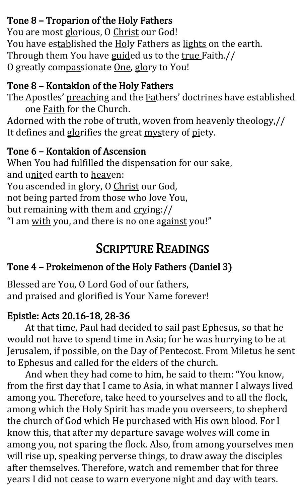#### Tone 8 – Troparion of the Holy Fathers

You are most glorious, O Christ our God! You have established the Holy Fathers as lights on the earth. Through them You have guided us to the true Faith.// O greatly compassionate One, glory to You!

#### Tone 8 – Kontakion of the Holy Fathers

The Apostles' preaching and the **Fathers' doctrines have established** one Faith for the Church.

Adorned with the robe of truth, woven from heavenly theology,// It defines and glorifies the great mystery of piety.

#### Tone 6 – Kontakion of Ascension

When You had fulfilled the dispensation for our sake, and united earth to heaven: You ascended in glory, O Christ our God, not being parted from those who love You, but remaining with them and crying:// "I am with you, and there is no one against you!"

#### SCRIPTURE READINGS

#### Tone 4 – Prokeimenon of the Holy Fathers (Daniel 3)

Blessed are You, O Lord God of our fathers, and praised and glorified is Your Name forever!

#### Epistle: Acts 20.16-18, 28-36

At that time, Paul had decided to sail past Ephesus, so that he would not have to spend time in Asia; for he was hurrying to be at Jerusalem, if possible, on the Day of Pentecost. From Miletus he sent to Ephesus and called for the elders of the church.

And when they had come to him, he said to them: "You know, from the first day that I came to Asia, in what manner I always lived among you. Therefore, take heed to yourselves and to all the flock, among which the Holy Spirit has made you overseers, to shepherd the church of God which He purchased with His own blood. For I know this, that after my departure savage wolves will come in among you, not sparing the flock. Also, from among yourselves men will rise up, speaking perverse things, to draw away the disciples after themselves. Therefore, watch and remember that for three years I did not cease to warn everyone night and day with tears.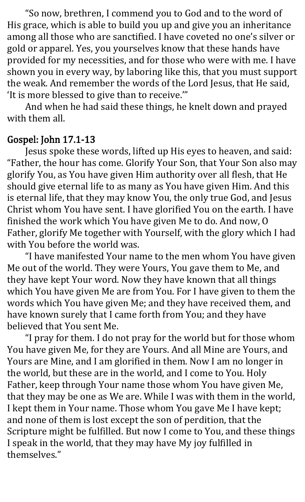"So now, brethren, I commend you to God and to the word of His grace, which is able to build you up and give you an inheritance among all those who are sanctified. I have coveted no one's silver or gold or apparel. Yes, you yourselves know that these hands have provided for my necessities, and for those who were with me. I have shown you in every way, by laboring like this, that you must support the weak. And remember the words of the Lord Jesus, that He said, 'It is more blessed to give than to receive.'"

And when he had said these things, he knelt down and prayed with them all.

#### Gospel: John 17.1-13

Jesus spoke these words, lifted up His eyes to heaven, and said: "Father, the hour has come. Glorify Your Son, that Your Son also may glorify You, as You have given Him authority over all flesh, that He should give eternal life to as many as You have given Him. And this is eternal life, that they may know You, the only true God, and Jesus Christ whom You have sent. I have glorified You on the earth. I have finished the work which You have given Me to do. And now, O Father, glorify Me together with Yourself, with the glory which I had with You before the world was.

"I have manifested Your name to the men whom You have given Me out of the world. They were Yours, You gave them to Me, and they have kept Your word. Now they have known that all things which You have given Me are from You. For I have given to them the words which You have given Me; and they have received them, and have known surely that I came forth from You; and they have believed that You sent Me.

"I pray for them. I do not pray for the world but for those whom You have given Me, for they are Yours. And all Mine are Yours, and Yours are Mine, and I am glorified in them. Now I am no longer in the world, but these are in the world, and I come to You. Holy Father, keep through Your name those whom You have given Me, that they may be one as We are. While I was with them in the world, I kept them in Your name. Those whom You gave Me I have kept; and none of them is lost except the son of perdition, that the Scripture might be fulfilled. But now I come to You, and these things I speak in the world, that they may have My joy fulfilled in themselves."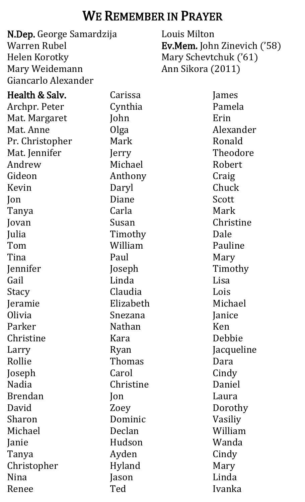#### WE REMEMBER IN PRAYER

| N.Dep. George Samardzija |               | Louis Milton                       |  |
|--------------------------|---------------|------------------------------------|--|
| Warren Rubel             |               | <b>Ev.Mem.</b> John Zinevich ('58) |  |
| Helen Korotky            |               | Mary Schevtchuk ('61)              |  |
| Mary Weidemann           |               | Ann Sikora (2011)                  |  |
| Giancarlo Alexander      |               |                                    |  |
| Health & Salv.           | Carissa       | James                              |  |
| Archpr. Peter            | Cynthia       | Pamela                             |  |
| Mat. Margaret            | John          | Erin                               |  |
| Mat. Anne                | Olga          | Alexander                          |  |
| Pr. Christopher          | Mark          | Ronald                             |  |
| Mat. Jennifer            | Jerry         | Theodore                           |  |
| Andrew                   | Michael       | Robert                             |  |
| Gideon                   | Anthony       | Craig                              |  |
| Kevin                    | Daryl         | Chuck                              |  |
| Jon                      | Diane         | Scott                              |  |
| Tanya                    | Carla         | Mark                               |  |
| Jovan                    | Susan         | Christine                          |  |
| Julia                    | Timothy       | Dale                               |  |
| Tom                      | William       | Pauline                            |  |
| Tina                     | Paul          | Mary                               |  |
| Jennifer                 | Joseph        | Timothy                            |  |
| Gail                     | Linda         | Lisa                               |  |
| Stacy                    | Claudia       | Lois                               |  |
| Jeramie                  | Elizabeth     | Michael                            |  |
| Olivia                   | Snezana       | Janice                             |  |
| Parker                   | <b>Nathan</b> | Ken                                |  |
| Christine                | Kara          | Debbie                             |  |
| Larry                    | Ryan          | Jacqueline                         |  |
| Rollie                   | Thomas        | Dara                               |  |
| Joseph                   | Carol         | Cindy                              |  |
| <b>Nadia</b>             | Christine     | Daniel                             |  |
| <b>Brendan</b>           | Jon           | Laura                              |  |
| David                    | Zoey          | Dorothy                            |  |
| Sharon                   | Dominic       | Vasiliy                            |  |
| Michael                  | Declan        | William                            |  |
| Janie                    | Hudson        | Wanda                              |  |
| Tanya                    | Ayden         | Cindy                              |  |
| Christopher              | Hyland        | Mary                               |  |
| Nina                     | Jason         | Linda                              |  |
| Renee                    | Ted           | Ivanka                             |  |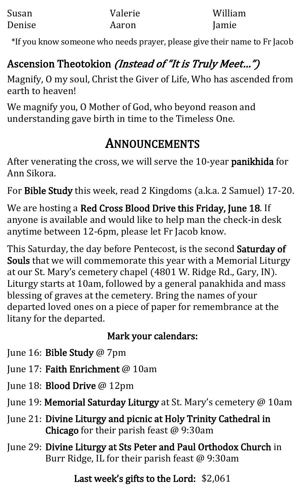| Susan  | Valerie | William |
|--------|---------|---------|
| Denise | Aaron   | Jamie   |

\*If you know someone who needs prayer, please give their name to Fr Jacob

#### Ascension Theotokion *(Instead of "It is Truly Meet...")*

Magnify, O my soul, Christ the Giver of Life, Who has ascended from earth to heaven!

We magnify you, O Mother of God, who beyond reason and understanding gave birth in time to the Timeless One.

#### ANNOUNCEMENTS

After venerating the cross, we will serve the 10-year panikhida for Ann Sikora.

For Bible Study this week, read 2 Kingdoms (a.k.a. 2 Samuel) 17-20.

We are hosting a Red Cross Blood Drive this Friday, June 18. If anyone is available and would like to help man the check-in desk anytime between 12-6pm, please let Fr Jacob know.

This Saturday, the day before Pentecost, is the second Saturday of Souls that we will commemorate this year with a Memorial Liturgy at our St. Mary's cemetery chapel (4801 W. Ridge Rd., Gary, IN). Liturgy starts at 10am, followed by a general panakhida and mass blessing of graves at the cemetery. Bring the names of your departed loved ones on a piece of paper for remembrance at the litany for the departed.

#### Mark your calendars:

- June 16: Bible Study @ 7pm
- June 17: Faith Enrichment @ 10am
- June 18: Blood Drive @ 12pm
- June 19: Memorial Saturday Liturgy at St. Mary's cemetery @ 10am
- June 21: Divine Liturgy and picnic at Holy Trinity Cathedral in Chicago for their parish feast @ 9:30am
- June 29: Divine Liturgy at Sts Peter and Paul Orthodox Church in Burr Ridge, IL for their parish feast @ 9:30am

Last week's gifts to the Lord: \$2,061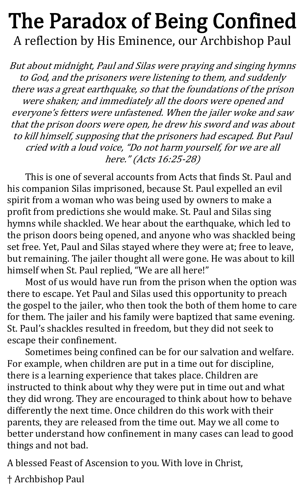### The Paradox of Being Confined A reflection by His Eminence, our Archbishop Paul

But about midnight, Paul and Silas were praying and singing hymns to God, and the prisoners were listening to them, and suddenly there was a great earthquake, so that the foundations of the prison were shaken; and immediately all the doors were opened and everyone's fetters were unfastened. When the jailer woke and saw that the prison doors were open, he drew his sword and was about to kill himself, supposing that the prisoners had escaped. But Paul cried with a loud voice, "Do not harm yourself, for we are all here." (Acts 16:25-28)

This is one of several accounts from Acts that finds St. Paul and his companion Silas imprisoned, because St. Paul expelled an evil spirit from a woman who was being used by owners to make a profit from predictions she would make. St. Paul and Silas sing hymns while shackled. We hear about the earthquake, which led to the prison doors being opened, and anyone who was shackled being set free. Yet, Paul and Silas stayed where they were at; free to leave, but remaining. The jailer thought all were gone. He was about to kill himself when St. Paul replied, "We are all here!"

Most of us would have run from the prison when the option was there to escape. Yet Paul and Silas used this opportunity to preach the gospel to the jailer, who then took the both of them home to care for them. The jailer and his family were baptized that same evening. St. Paul's shackles resulted in freedom, but they did not seek to escape their confinement.

Sometimes being confined can be for our salvation and welfare. For example, when children are put in a time out for discipline, there is a learning experience that takes place. Children are instructed to think about why they were put in time out and what they did wrong. They are encouraged to think about how to behave differently the next time. Once children do this work with their parents, they are released from the time out. May we all come to better understand how confinement in many cases can lead to good things and not bad.

A blessed Feast of Ascension to you. With love in Christ,

† Archbishop Paul